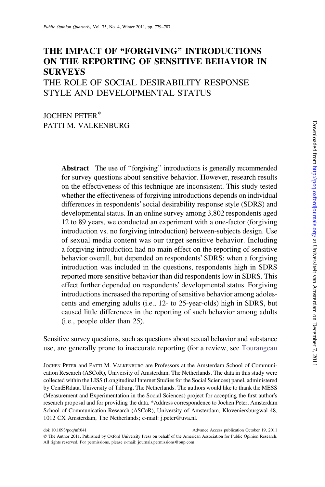# THE IMPACT OF "FORGIVING" INTRODUCTIONS ON THE REPORTING OF SENSITIVE BEHAVIOR IN SURVEYS

THE ROLE OF SOCIAL DESIRABILITY RESPONSE STYLE AND DEVELOPMENTAL STATUS

# JOCHEN PETER\* PATTI M. VALKENBURG

Abstract The use of ''forgiving'' introductions is generally recommended for survey questions about sensitive behavior. However, research results on the effectiveness of this technique are inconsistent. This study tested whether the effectiveness of forgiving introductions depends on individual differences in respondents' social desirability response style (SDRS) and developmental status. In an online survey among 3,802 respondents aged 12 to 89 years, we conducted an experiment with a one-factor (forgiving introduction vs. no forgiving introduction) between-subjects design. Use of sexual media content was our target sensitive behavior. Including a forgiving introduction had no main effect on the reporting of sensitive behavior overall, but depended on respondents' SDRS: when a forgiving introduction was included in the questions, respondents high in SDRS reported more sensitive behavior than did respondents low in SDRS. This effect further depended on respondents' developmental status. Forgiving introductions increased the reporting of sensitive behavior among adolescents and emerging adults (i.e., 12- to 25-year-olds) high in SDRS, but caused little differences in the reporting of such behavior among adults (i.e., people older than 25).

Sensitive survey questions, such as questions about sexual behavior and substance use, are generally prone to inaccurate reporting (for a review, see [Tourangeau](#page-8-0)

JOCHEN PETER and PATTI M. VALKENBURG are Professors at the Amsterdam School of Communication Research (ASCoR), University of Amsterdam, The Netherlands. The data in this study were collected within the LISS (Longitudinal Internet Studies for the Social Sciences) panel, administered by CentERdata, University of Tilburg, The Netherlands. The authors would like to thank the MESS (Measurement and Experimentation in the Social Sciences) project for accepting the first author's research proposal and for providing the data. \*Address correspondence to Jochen Peter, Amsterdam School of Communication Research (ASCoR), University of Amsterdam, Kloveniersburgwal 48, 1012 CX Amsterdam, The Netherlands; e-mail: j.peter@uva.nl.

doi: 10.1093/poq/nfr041 Advance Access publication October 19, 2011

The Author 2011. Published by Oxford University Press on behalf of the American Association for Public Opinion Research. All rights reserved. For permissions, please e-mail: journals.permissions@oup.com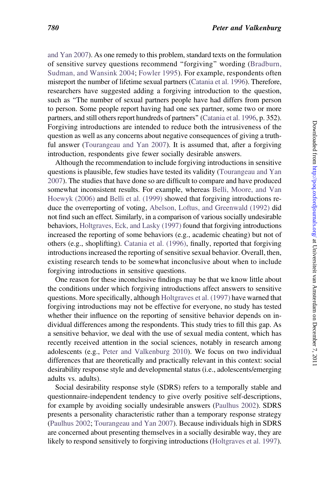[and Yan 2007](#page-8-0)). As one remedy to this problem, standard texts on the formulation of sensitive survey questions recommend ''forgiving'' wording ([Bradburn,](#page-8-0) [Sudman, and Wansink 2004](#page-8-0); [Fowler 1995](#page-8-0)). For example, respondents often misreport the number of lifetime sexual partners [\(Catania et al. 1996](#page-8-0)). Therefore, researchers have suggested adding a forgiving introduction to the question, such as ''The number of sexual partners people have had differs from person to person. Some people report having had one sex partner, some two or more partners, and still others report hundreds of partners'' [\(Catania et al. 1996](#page-8-0), p. 352). Forgiving introductions are intended to reduce both the intrusiveness of the question as well as any concerns about negative consequences of giving a truthful answer [\(Tourangeau and Yan 2007](#page-8-0)). It is assumed that, after a forgiving introduction, respondents give fewer socially desirable answers.

Although the recommendation to include forgiving introductions in sensitive questions is plausible, few studies have tested its validity ([Tourangeau and Yan](#page-8-0) [2007](#page-8-0)). The studies that have done so are difficult to compare and have produced somewhat inconsistent results. For example, whereas [Belli, Moore, and Van](#page-8-0) [Hoewyk \(2006\)](#page-8-0) and [Belli et al. \(1999\)](#page-8-0) showed that forgiving introductions reduce the overreporting of voting, [Abelson, Loftus, and Greenwald \(1992\)](#page-7-0) did not find such an effect. Similarly, in a comparison of various socially undesirable behaviors, [Holtgraves, Eck, and Lasky \(1997\)](#page-8-0) found that forgiving introductions increased the reporting of some behaviors (e.g., academic cheating) but not of others (e.g., shoplifting). [Catania et al. \(1996\)](#page-8-0), finally, reported that forgiving introductions increased the reporting of sensitive sexual behavior. Overall, then, existing research tends to be somewhat inconclusive about when to include forgiving introductions in sensitive questions.

One reason for these inconclusive findings may be that we know little about the conditions under which forgiving introductions affect answers to sensitive questions. More specifically, although [Holtgraves et al. \(1997\)](#page-8-0) have warned that forgiving introductions may not be effective for everyone, no study has tested whether their influence on the reporting of sensitive behavior depends on individual differences among the respondents. This study tries to fill this gap. As a sensitive behavior, we deal with the use of sexual media content, which has recently received attention in the social sciences, notably in research among adolescents (e.g., [Peter and Valkenburg 2010](#page-8-0)). We focus on two individual differences that are theoretically and practically relevant in this context: social desirability response style and developmental status (i.e., adolescents/emerging adults vs. adults).

Social desirability response style (SDRS) refers to a temporally stable and questionnaire-independent tendency to give overly positive self-descriptions, for example by avoiding socially undesirable answers [\(Paulhus 2002\)](#page-8-0). SDRS presents a personality characteristic rather than a temporary response strategy ([Paulhus 2002](#page-8-0); [Tourangeau and Yan 2007](#page-8-0)). Because individuals high in SDRS are concerned about presenting themselves in a socially desirable way, they are likely to respond sensitively to forgiving introductions [\(Holtgraves et al. 1997\)](#page-8-0).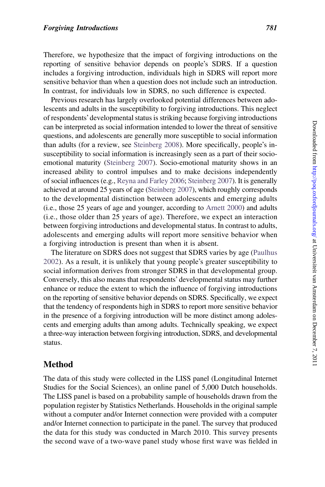Therefore, we hypothesize that the impact of forgiving introductions on the reporting of sensitive behavior depends on people's SDRS. If a question includes a forgiving introduction, individuals high in SDRS will report more sensitive behavior than when a question does not include such an introduction. In contrast, for individuals low in SDRS, no such difference is expected.

Previous research has largely overlooked potential differences between adolescents and adults in the susceptibility to forgiving introductions. This neglect of respondents' developmental status is striking because forgiving introductions can be interpreted as social information intended to lower the threat of sensitive questions, and adolescents are generally more susceptible to social information than adults (for a review, see [Steinberg 2008\)](#page-8-0). More specifically, people's insusceptibility to social information is increasingly seen as a part of their socioemotional maturity ([Steinberg 2007](#page-8-0)). Socio-emotional maturity shows in an increased ability to control impulses and to make decisions independently of social influences (e.g., [Reyna and Farley 2006](#page-8-0); [Steinberg 2007\)](#page-8-0). It is generally achieved at around 25 years of age ([Steinberg 2007](#page-8-0)), which roughly corresponds to the developmental distinction between adolescents and emerging adults (i.e., those 25 years of age and younger, according to [Arnett 2000\)](#page-8-0) and adults (i.e., those older than 25 years of age). Therefore, we expect an interaction between forgiving introductions and developmental status. In contrast to adults, adolescents and emerging adults will report more sensitive behavior when a forgiving introduction is present than when it is absent.

The literature on SDRS does not suggest that SDRS varies by age ([Paulhus](#page-8-0) [2002](#page-8-0)). As a result, it is unlikely that young people's greater susceptibility to social information derives from stronger SDRS in that developmental group. Conversely, this also means that respondents' developmental status may further enhance or reduce the extent to which the influence of forgiving introductions on the reporting of sensitive behavior depends on SDRS. Specifically, we expect that the tendency of respondents high in SDRS to report more sensitive behavior in the presence of a forgiving introduction will be more distinct among adolescents and emerging adults than among adults. Technically speaking, we expect a three-way interaction between forgiving introduction, SDRS, and developmental status.

# Method

The data of this study were collected in the LISS panel (Longitudinal Internet Studies for the Social Sciences), an online panel of 5,000 Dutch households. The LISS panel is based on a probability sample of households drawn from the population register by Statistics Netherlands. Households in the original sample without a computer and/or Internet connection were provided with a computer and/or Internet connection to participate in the panel. The survey that produced the data for this study was conducted in March 2010. This survey presents the second wave of a two-wave panel study whose first wave was fielded in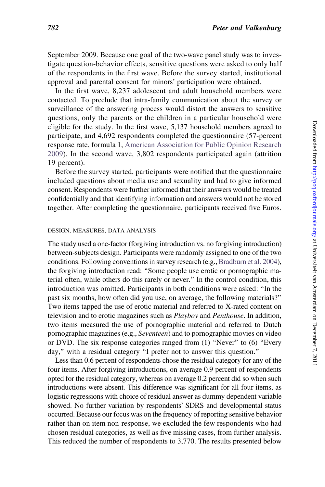September 2009. Because one goal of the two-wave panel study was to investigate question-behavior effects, sensitive questions were asked to only half of the respondents in the first wave. Before the survey started, institutional approval and parental consent for minors' participation were obtained.

In the first wave, 8,237 adolescent and adult household members were contacted. To preclude that intra-family communication about the survey or surveillance of the answering process would distort the answers to sensitive questions, only the parents or the children in a particular household were eligible for the study. In the first wave, 5,137 household members agreed to participate, and 4,692 respondents completed the questionnaire (57-percent response rate, formula 1, [American Association for Public Opinion Research](#page-8-0) [2009\)](#page-8-0). In the second wave, 3,802 respondents participated again (attrition 19 percent).

Before the survey started, participants were notified that the questionnaire included questions about media use and sexuality and had to give informed consent. Respondents were further informed that their answers would be treated confidentially and that identifying information and answers would not be stored together. After completing the questionnaire, participants received five Euros.

#### DESIGN, MEASURES, DATA ANALYSIS

The study used a one-factor (forgiving introduction vs. no forgiving introduction) between-subjects design. Participants were randomly assigned to one of the two conditions. Following conventions in survey research (e.g., [Bradburn et al. 2004\)](#page-8-0), the forgiving introduction read: ''Some people use erotic or pornographic material often, while others do this rarely or never.'' In the control condition, this introduction was omitted. Participants in both conditions were asked: ''In the past six months, how often did you use, on average, the following materials?'' Two items tapped the use of erotic material and referred to X-rated content on television and to erotic magazines such as Playboy and Penthouse. In addition, two items measured the use of pornographic material and referred to Dutch pornographic magazines (e.g., Seventeen) and to pornographic movies on video or DVD. The six response categories ranged from (1) ''Never'' to (6) ''Every day,'' with a residual category ''I prefer not to answer this question.''

Less than 0.6 percent of respondents chose the residual category for any of the four items. After forgiving introductions, on average 0.9 percent of respondents opted for the residual category, whereas on average 0.2 percent did so when such introductions were absent. This difference was significant for all four items, as logistic regressions with choice of residual answer as dummy dependent variable showed. No further variation by respondents' SDRS and developmental status occurred. Because our focus was on the frequency of reporting sensitive behavior rather than on item non-response, we excluded the few respondents who had chosen residual categories, as well as five missing cases, from further analysis. This reduced the number of respondents to 3,770. The results presented below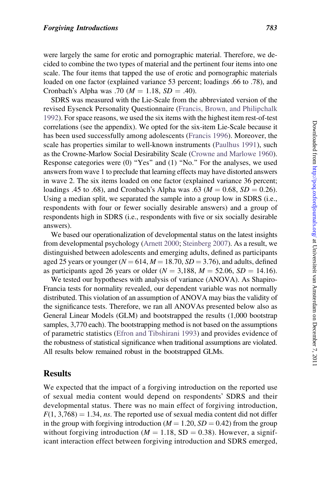were largely the same for erotic and pornographic material. Therefore, we decided to combine the two types of material and the pertinent four items into one scale. The four items that tapped the use of erotic and pornographic materials loaded on one factor (explained variance 53 percent; loadings .66 to .78), and Cronbach's Alpha was .70 ( $M = 1.18$ ,  $SD = .40$ ).

SDRS was measured with the Lie-Scale from the abbreviated version of the revised Eysenck Personality Questionnaire [\(Francis, Brown, and Philipchalk](#page-8-0) [1992\)](#page-8-0). For space reasons, we used the six items with the highest item rest-of-test correlations (see the appendix). We opted for the six-item Lie-Scale because it has been used successfully among adolescents ([Francis 1996](#page-8-0)). Moreover, the scale has properties similar to well-known instruments ([Paulhus 1991](#page-8-0)), such as the Crowne-Marlow Social Desirability Scale [\(Crowne and Marlowe 1960\)](#page-8-0). Response categories were (0) "Yes" and (1) "No." For the analyses, we used answers from wave 1 to preclude that learning effects may have distorted answers in wave 2. The six items loaded on one factor (explained variance 36 percent; loadings .45 to .68), and Cronbach's Alpha was .63 ( $M = 0.68$ ,  $SD = 0.26$ ). Using a median split, we separated the sample into a group low in SDRS (i.e., respondents with four or fewer socially desirable answers) and a group of respondents high in SDRS (i.e., respondents with five or six socially desirable answers).

We based our operationalization of developmental status on the latest insights from developmental psychology ([Arnett 2000](#page-8-0); [Steinberg 2007\)](#page-8-0). As a result, we distinguished between adolescents and emerging adults, defined as participants aged 25 years or younger ( $N = 614$ ,  $M = 18.70$ ,  $SD = 3.76$ ), and adults, defined as participants aged 26 years or older ( $N = 3,188$ ,  $M = 52.06$ ,  $SD = 14.16$ ).

We tested our hypotheses with analysis of variance (ANOVA). As Shapiro-Francia tests for normality revealed, our dependent variable was not normally distributed. This violation of an assumption of ANOVA may bias the validity of the significance tests. Therefore, we ran all ANOVAs presented below also as General Linear Models (GLM) and bootstrapped the results (1,000 bootstrap samples, 3,770 each). The bootstrapping method is not based on the assumptions of parametric statistics ([Efron and Tibshirani 1993\)](#page-8-0) and provides evidence of the robustness of statistical significance when traditional assumptions are violated. All results below remained robust in the bootstrapped GLMs.

### **Results**

We expected that the impact of a forgiving introduction on the reported use of sexual media content would depend on respondents' SDRS and their developmental status. There was no main effect of forgiving introduction,  $F(1, 3,768) = 1.34$ , ns. The reported use of sexual media content did not differ in the group with forgiving introduction ( $M = 1.20$ ,  $SD = 0.42$ ) from the group without forgiving introduction ( $M = 1.18$ , SD = 0.38). However, a significant interaction effect between forgiving introduction and SDRS emerged,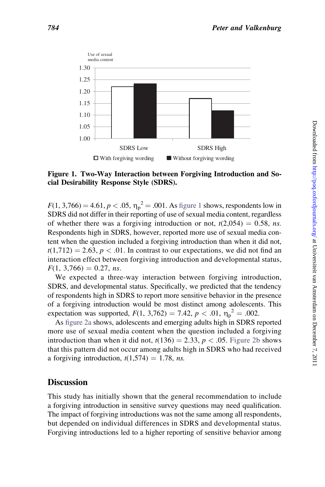

#### Figure 1. Two-Way Interaction between Forgiving Introduction and Social Desirability Response Style (SDRS).

 $F(1, 3,766) = 4.61, p < .05, \eta_p^2 = .001$ . As figure 1 shows, respondents low in SDRS did not differ in their reporting of use of sexual media content, regardless of whether there was a forgiving introduction or not,  $t(2,054) = 0.58$ , ns. Respondents high in SDRS, however, reported more use of sexual media content when the question included a forgiving introduction than when it did not,  $t(1,712) = 2.63$ ,  $p < .01$ . In contrast to our expectations, we did not find an interaction effect between forgiving introduction and developmental status,  $F(1, 3,766) = 0.27$ , ns.

We expected a three-way interaction between forgiving introduction, SDRS, and developmental status. Specifically, we predicted that the tendency of respondents high in SDRS to report more sensitive behavior in the presence of a forgiving introduction would be most distinct among adolescents. This expectation was supported,  $F(1, 3,762) = 7.42$ ,  $p < .01$ ,  $\eta_p^2 = .002$ .

As [figure 2a](#page-6-0) shows, adolescents and emerging adults high in SDRS reported more use of sexual media content when the question included a forgiving introduction than when it did not,  $t(136) = 2.33$ ,  $p < .05$ . [Figure 2b](#page-6-0) shows that this pattern did not occur among adults high in SDRS who had received a forgiving introduction,  $t(1,574) = 1.78$ , ns.

# **Discussion**

This study has initially shown that the general recommendation to include a forgiving introduction in sensitive survey questions may need qualification. The impact of forgiving introductions was not the same among all respondents, but depended on individual differences in SDRS and developmental status. Forgiving introductions led to a higher reporting of sensitive behavior among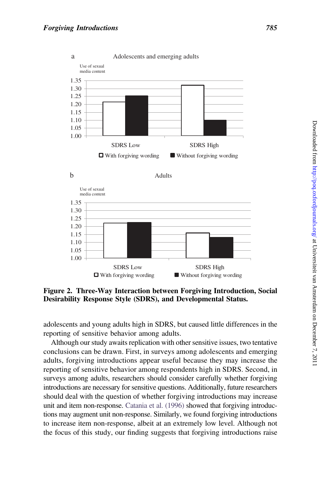<span id="page-6-0"></span>

Figure 2. Three-Way Interaction between Forgiving Introduction, Social Desirability Response Style (SDRS), and Developmental Status.

adolescents and young adults high in SDRS, but caused little differences in the reporting of sensitive behavior among adults.

Although our study awaits replication with other sensitive issues, two tentative conclusions can be drawn. First, in surveys among adolescents and emerging adults, forgiving introductions appear useful because they may increase the reporting of sensitive behavior among respondents high in SDRS. Second, in surveys among adults, researchers should consider carefully whether forgiving introductions are necessary for sensitive questions. Additionally, future researchers should deal with the question of whether forgiving introductions may increase unit and item non-response. [Catania et al. \(1996\)](#page-8-0) showed that forgiving introductions may augment unit non-response. Similarly, we found forgiving introductions to increase item non-response, albeit at an extremely low level. Although not the focus of this study, our finding suggests that forgiving introductions raise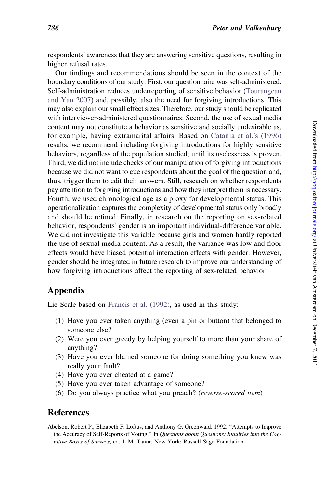<span id="page-7-0"></span>respondents' awareness that they are answering sensitive questions, resulting in higher refusal rates.

Our findings and recommendations should be seen in the context of the boundary conditions of our study. First, our questionnaire was self-administered. Self-administration reduces underreporting of sensitive behavior ([Tourangeau](#page-8-0) [and Yan 2007\)](#page-8-0) and, possibly, also the need for forgiving introductions. This may also explain our small effect sizes. Therefore, our study should be replicated with interviewer-administered questionnaires. Second, the use of sexual media content may not constitute a behavior as sensitive and socially undesirable as, for example, having extramarital affairs. Based on [Catania et al.](#page-8-0)'s (1996) results, we recommend including forgiving introductions for highly sensitive behaviors, regardless of the population studied, until its uselessness is proven. Third, we did not include checks of our manipulation of forgiving introductions because we did not want to cue respondents about the goal of the question and, thus, trigger them to edit their answers. Still, research on whether respondents pay attention to forgiving introductions and how they interpret them is necessary. Fourth, we used chronological age as a proxy for developmental status. This operationalization captures the complexity of developmental status only broadly and should be refined. Finally, in research on the reporting on sex-related behavior, respondents' gender is an important individual-difference variable. We did not investigate this variable because girls and women hardly reported the use of sexual media content. As a result, the variance was low and floor effects would have biased potential interaction effects with gender. However, gender should be integrated in future research to improve our understanding of how forgiving introductions affect the reporting of sex-related behavior.

### Appendix

Lie Scale based on [Francis et al. \(1992\),](#page-8-0) as used in this study:

- (1) Have you ever taken anything (even a pin or button) that belonged to someone else?
- (2) Were you ever greedy by helping yourself to more than your share of anything?
- (3) Have you ever blamed someone for doing something you knew was really your fault?
- (4) Have you ever cheated at a game?
- (5) Have you ever taken advantage of someone?
- (6) Do you always practice what you preach? (reverse-scored item)

### References

Abelson, Robert P., Elizabeth F. Loftus, and Anthony G. Greenwald. 1992. ''Attempts to Improve the Accuracy of Self-Reports of Voting.'' In Questions about Questions: Inquiries into the Cognitive Bases of Surveys, ed. J. M. Tanur. New York: Russell Sage Foundation.